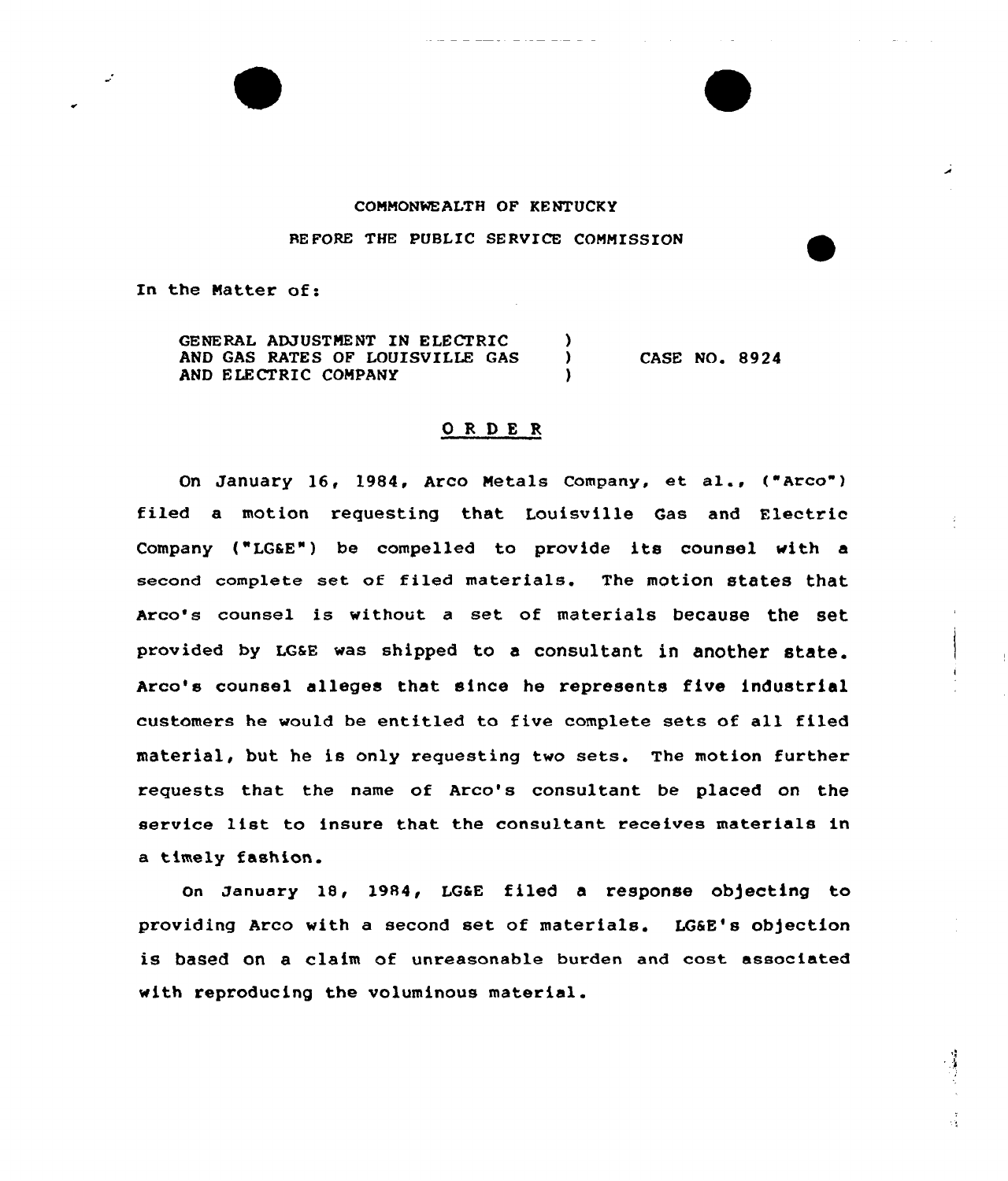## COMMONWEALTH OF KENTUCKY

RE FORE THE PUBLIC SERVICE COMMISSION

In the Matter of:

GENERAL ADJUSTMENT IN ELECTRIC (3) AND GAS RATES OF LOUISVILLE GAS AND ELECTRIC COMPANY

CASE NO. 8924

## ORDER

On January 16, 1984, Arco Metals company, et al., ("Arco") filed a motion requesting that Louisville Gas and Electric Company ("LGSE") be compelled to provide its counsel with a second complete set of filed materials. The motion states that Arco's counsel is without <sup>a</sup> set of materials because the set provided by LGSE was shipped to a consultant in another state. Arco's counsel alleges that since he represents five industrial customers he would be entitled to five complete sets of all filed material, but he is only requesting two sets. The motion further requests that the name of Arco's consultant be placed on the service list to insure that the consultant receives materials in a timely fashion.

on January 18, 1984, LG&E filed a response objecting to providing Arco with a second set of materials. LG&E's objection is based on a claim of unreasonable burden and cost associated with reproducing the voluminous material.